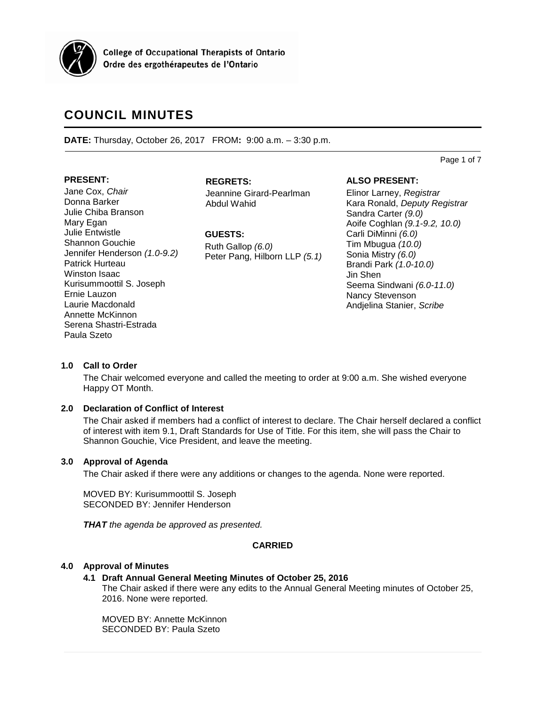

College of Occupational Therapists of Ontario Ordre des ergothérapeutes de l'Ontario

# **COUNCIL MINUTES**

**DATE:** Thursday, October 26, 2017 FROM**:** 9:00 a.m. – 3:30 p.m.

Page 1 of 7

# **PRESENT:**

Jane Cox, *Chair* Donna Barker Julie Chiba Branson Mary Egan Julie Entwistle Shannon Gouchie Jennifer Henderson *(1.0-9.2)* Patrick Hurteau Winston Isaac Kurisummoottil S. Joseph Ernie Lauzon Laurie Macdonald Annette McKinnon Serena Shastri-Estrada Paula Szeto

# **REGRETS:**

Jeannine Girard-Pearlman Abdul Wahid

**GUESTS:**

Ruth Gallop *(6.0)* Peter Pang, Hilborn LLP *(5.1)*

# **ALSO PRESENT:**

Elinor Larney, *Registrar* Kara Ronald, *Deputy Registrar* Sandra Carter *(9.0)* Aoife Coghlan *(9.1-9.2, 10.0)* Carli DiMinni *(6.0)* Tim Mbugua *(10.0)* Sonia Mistry *(6.0)* Brandi Park *(1.0-10.0)* Jin Shen Seema Sindwani *(6.0-11.0)* Nancy Stevenson Andjelina Stanier, *Scribe*

# **1.0 Call to Order**

The Chair welcomed everyone and called the meeting to order at 9:00 a.m. She wished everyone Happy OT Month.

# **2.0 Declaration of Conflict of Interest**

The Chair asked if members had a conflict of interest to declare. The Chair herself declared a conflict of interest with item 9.1, Draft Standards for Use of Title. For this item, she will pass the Chair to Shannon Gouchie, Vice President, and leave the meeting.

# **3.0 Approval of Agenda**

The Chair asked if there were any additions or changes to the agenda. None were reported.

MOVED BY: Kurisummoottil S. Joseph SECONDED BY: Jennifer Henderson

*THAT the agenda be approved as presented.*

# **CARRIED**

# **4.0 Approval of Minutes**

# **4.1 Draft Annual General Meeting Minutes of October 25, 2016**

The Chair asked if there were any edits to the Annual General Meeting minutes of October 25, 2016. None were reported.

MOVED BY: Annette McKinnon SECONDED BY: Paula Szeto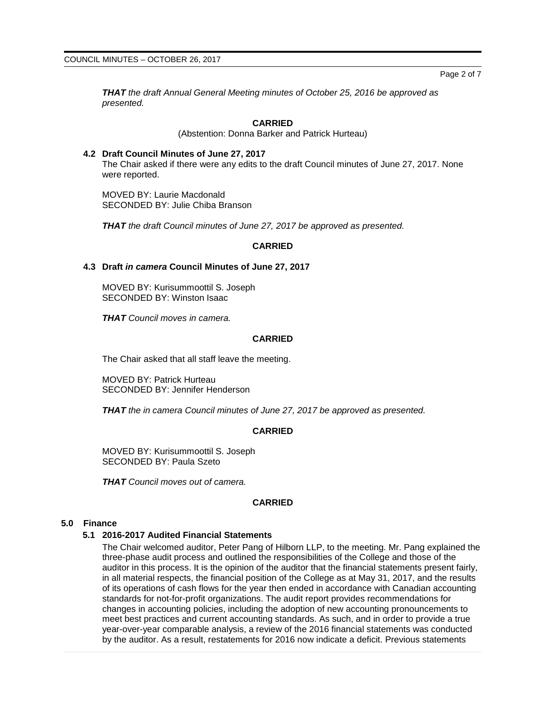Page 2 of 7

*THAT the draft Annual General Meeting minutes of October 25, 2016 be approved as presented.*

### **CARRIED**

(Abstention: Donna Barker and Patrick Hurteau)

**4.2 Draft Council Minutes of June 27, 2017** The Chair asked if there were any edits to the draft Council minutes of June 27, 2017. None were reported.

MOVED BY: Laurie Macdonald SECONDED BY: Julie Chiba Branson

*THAT the draft Council minutes of June 27, 2017 be approved as presented.*

#### **CARRIED**

# **4.3 Draft** *in camera* **Council Minutes of June 27, 2017**

MOVED BY: Kurisummoottil S. Joseph SECONDED BY: Winston Isaac

*THAT Council moves in camera.*

### **CARRIED**

The Chair asked that all staff leave the meeting.

MOVED BY: Patrick Hurteau SECONDED BY: Jennifer Henderson

*THAT the in camera Council minutes of June 27, 2017 be approved as presented.*

#### **CARRIED**

MOVED BY: Kurisummoottil S. Joseph SECONDED BY: Paula Szeto

*THAT Council moves out of camera.*

# **CARRIED**

#### **5.0 Finance**

#### **5.1 2016-2017 Audited Financial Statements**

The Chair welcomed auditor, Peter Pang of Hilborn LLP, to the meeting. Mr. Pang explained the three-phase audit process and outlined the responsibilities of the College and those of the auditor in this process. It is the opinion of the auditor that the financial statements present fairly, in all material respects, the financial position of the College as at May 31, 2017, and the results of its operations of cash flows for the year then ended in accordance with Canadian accounting standards for not-for-profit organizations. The audit report provides recommendations for changes in accounting policies, including the adoption of new accounting pronouncements to meet best practices and current accounting standards. As such, and in order to provide a true year-over-year comparable analysis, a review of the 2016 financial statements was conducted by the auditor. As a result, restatements for 2016 now indicate a deficit. Previous statements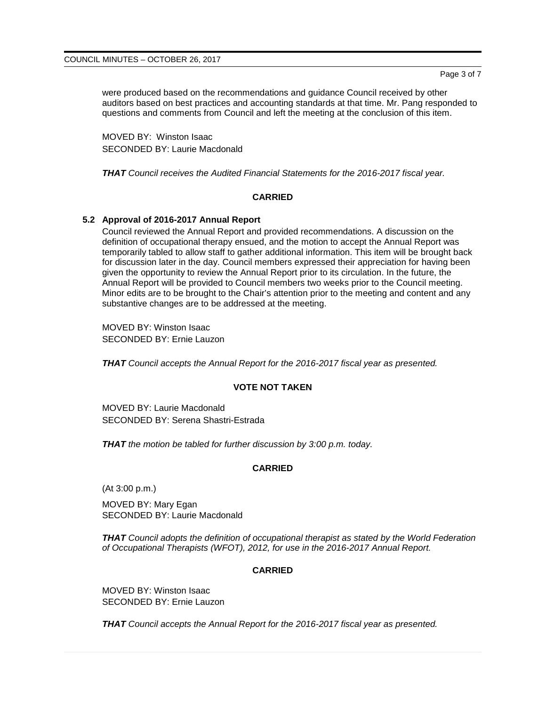were produced based on the recommendations and guidance Council received by other auditors based on best practices and accounting standards at that time. Mr. Pang responded to questions and comments from Council and left the meeting at the conclusion of this item.

MOVED BY: Winston Isaac SECONDED BY: Laurie Macdonald

*THAT Council receives the Audited Financial Statements for the 2016-2017 fiscal year.*

# **CARRIED**

# **5.2 Approval of 2016-2017 Annual Report**

Council reviewed the Annual Report and provided recommendations. A discussion on the definition of occupational therapy ensued, and the motion to accept the Annual Report was temporarily tabled to allow staff to gather additional information. This item will be brought back for discussion later in the day. Council members expressed their appreciation for having been given the opportunity to review the Annual Report prior to its circulation. In the future, the Annual Report will be provided to Council members two weeks prior to the Council meeting. Minor edits are to be brought to the Chair's attention prior to the meeting and content and any substantive changes are to be addressed at the meeting.

MOVED BY: Winston Isaac SECONDED BY: Ernie Lauzon

*THAT Council accepts the Annual Report for the 2016-2017 fiscal year as presented.*

# **VOTE NOT TAKEN**

MOVED BY: Laurie Macdonald SECONDED BY: Serena Shastri-Estrada

*THAT the motion be tabled for further discussion by 3:00 p.m. today.*

# **CARRIED**

(At 3:00 p.m.)

MOVED BY: Mary Egan SECONDED BY: Laurie Macdonald

*THAT Council adopts the definition of occupational therapist as stated by the World Federation of Occupational Therapists (WFOT), 2012, for use in the 2016-2017 Annual Report.*

# **CARRIED**

MOVED BY: Winston Isaac SECONDED BY: Ernie Lauzon

*THAT Council accepts the Annual Report for the 2016-2017 fiscal year as presented.*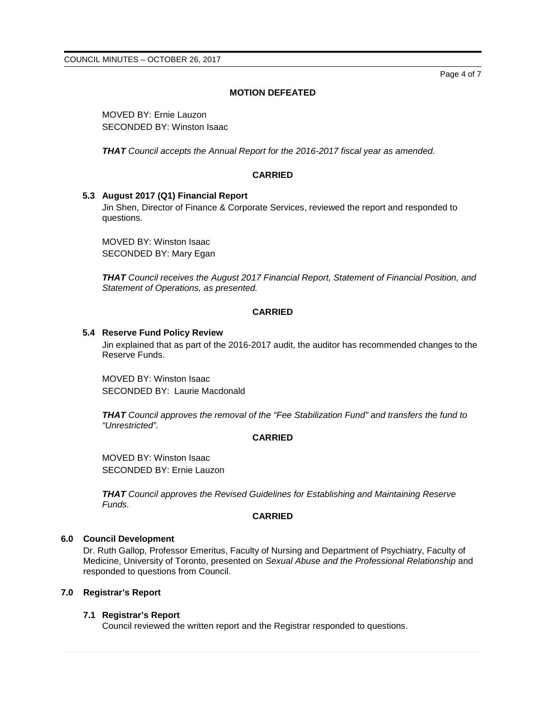Page 4 of 7

# **MOTION DEFEATED**

MOVED BY: Ernie Lauzon SECONDED BY: Winston Isaac

*THAT Council accepts the Annual Report for the 2016-2017 fiscal year as amended.*

# **CARRIED**

# **5.3 August 2017 (Q1) Financial Report**

Jin Shen, Director of Finance & Corporate Services, reviewed the report and responded to questions.

MOVED BY: Winston Isaac SECONDED BY: Mary Egan

*THAT Council receives the August 2017 Financial Report, Statement of Financial Position, and Statement of Operations, as presented.*

# **CARRIED**

### **5.4 Reserve Fund Policy Review**

Jin explained that as part of the 2016-2017 audit, the auditor has recommended changes to the Reserve Funds.

MOVED BY: Winston Isaac SECONDED BY: Laurie Macdonald

*THAT Council approves the removal of the "Fee Stabilization Fund" and transfers the fund to "Unrestricted".*

# **CARRIED**

MOVED BY: Winston Isaac SECONDED BY: Ernie Lauzon

*THAT Council approves the Revised Guidelines for Establishing and Maintaining Reserve Funds.*

# **CARRIED**

# **6.0 Council Development**

Dr. Ruth Gallop, Professor Emeritus, Faculty of Nursing and Department of Psychiatry, Faculty of Medicine, University of Toronto, presented on *Sexual Abuse and the Professional Relationship* and responded to questions from Council.

# **7.0 Registrar's Report**

# **7.1 Registrar's Report**

Council reviewed the written report and the Registrar responded to questions.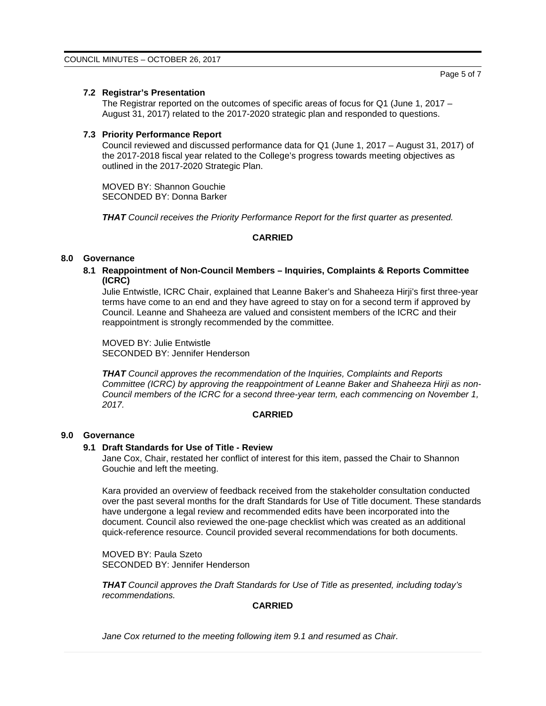# **7.2 Registrar's Presentation**

The Registrar reported on the outcomes of specific areas of focus for Q1 (June 1, 2017 – August 31, 2017) related to the 2017-2020 strategic plan and responded to questions.

#### **7.3 Priority Performance Report**

Council reviewed and discussed performance data for Q1 (June 1, 2017 – August 31, 2017) of the 2017-2018 fiscal year related to the College's progress towards meeting objectives as outlined in the 2017-2020 Strategic Plan.

MOVED BY: Shannon Gouchie SECONDED BY: Donna Barker

*THAT Council receives the Priority Performance Report for the first quarter as presented.*

# **CARRIED**

#### **8.0 Governance**

**8.1 Reappointment of Non-Council Members – Inquiries, Complaints & Reports Committee (ICRC)**

Julie Entwistle, ICRC Chair, explained that Leanne Baker's and Shaheeza Hirji's first three-year terms have come to an end and they have agreed to stay on for a second term if approved by Council. Leanne and Shaheeza are valued and consistent members of the ICRC and their reappointment is strongly recommended by the committee.

MOVED BY: Julie Entwistle SECONDED BY: Jennifer Henderson

*THAT Council approves the recommendation of the Inquiries, Complaints and Reports Committee (ICRC) by approving the reappointment of Leanne Baker and Shaheeza Hirji as non-Council members of the ICRC for a second three-year term, each commencing on November 1, 2017.*

### **CARRIED**

### **9.0 Governance**

#### **9.1 Draft Standards for Use of Title - Review**

Jane Cox, Chair, restated her conflict of interest for this item, passed the Chair to Shannon Gouchie and left the meeting.

Kara provided an overview of feedback received from the stakeholder consultation conducted over the past several months for the draft Standards for Use of Title document. These standards have undergone a legal review and recommended edits have been incorporated into the document. Council also reviewed the one-page checklist which was created as an additional quick-reference resource. Council provided several recommendations for both documents.

MOVED BY: Paula Szeto SECONDED BY: Jennifer Henderson

*THAT Council approves the Draft Standards for Use of Title as presented, including today's recommendations.*

### **CARRIED**

*Jane Cox returned to the meeting following item 9.1 and resumed as Chair.*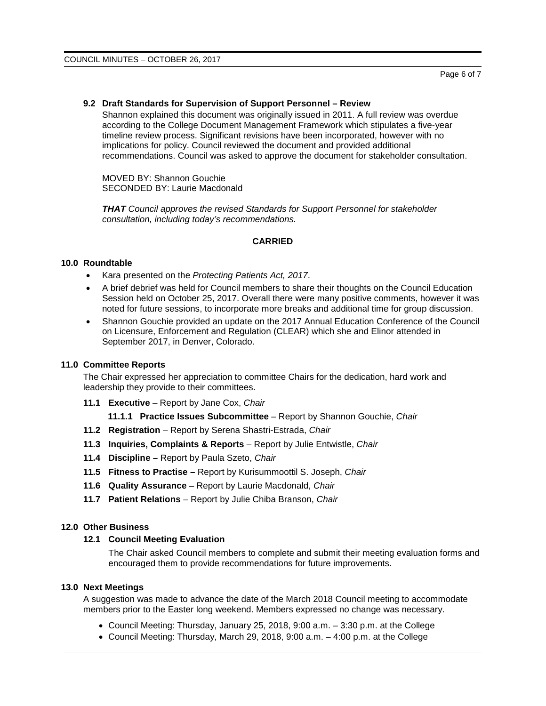### **9.2 Draft Standards for Supervision of Support Personnel – Review**

Shannon explained this document was originally issued in 2011. A full review was overdue according to the College Document Management Framework which stipulates a five-year timeline review process. Significant revisions have been incorporated, however with no implications for policy. Council reviewed the document and provided additional recommendations. Council was asked to approve the document for stakeholder consultation.

MOVED BY: Shannon Gouchie SECONDED BY: Laurie Macdonald

*THAT Council approves the revised Standards for Support Personnel for stakeholder consultation, including today's recommendations.*

### **CARRIED**

#### **10.0 Roundtable**

- Kara presented on the *Protecting Patients Act, 2017*.
- A brief debrief was held for Council members to share their thoughts on the Council Education Session held on October 25, 2017. Overall there were many positive comments, however it was noted for future sessions, to incorporate more breaks and additional time for group discussion.
- Shannon Gouchie provided an update on the 2017 Annual Education Conference of the Council on Licensure, Enforcement and Regulation (CLEAR) which she and Elinor attended in September 2017, in Denver, Colorado.

#### **11.0 Committee Reports**

The Chair expressed her appreciation to committee Chairs for the dedication, hard work and leadership they provide to their committees.

**11.1 Executive** – Report by Jane Cox, *Chair*

#### **11.1.1 Practice Issues Subcommittee** – Report by Shannon Gouchie, *Chair*

- **11.2 Registration** Report by Serena Shastri-Estrada, *Chair*
- **11.3 Inquiries, Complaints & Reports** Report by Julie Entwistle, *Chair*
- **11.4 Discipline –** Report by Paula Szeto, *Chair*
- **11.5 Fitness to Practise –** Report by Kurisummoottil S. Joseph, *Chair*
- **11.6 Quality Assurance**  Report by Laurie Macdonald, *Chair*
- **11.7 Patient Relations** Report by Julie Chiba Branson, *Chair*

#### **12.0 Other Business**

### **12.1 Council Meeting Evaluation**

The Chair asked Council members to complete and submit their meeting evaluation forms and encouraged them to provide recommendations for future improvements.

# **13.0 Next Meetings**

A suggestion was made to advance the date of the March 2018 Council meeting to accommodate members prior to the Easter long weekend. Members expressed no change was necessary.

- Council Meeting: Thursday, January 25, 2018, 9:00 a.m. 3:30 p.m. at the College
- Council Meeting: Thursday, March 29, 2018, 9:00 a.m. 4:00 p.m. at the College